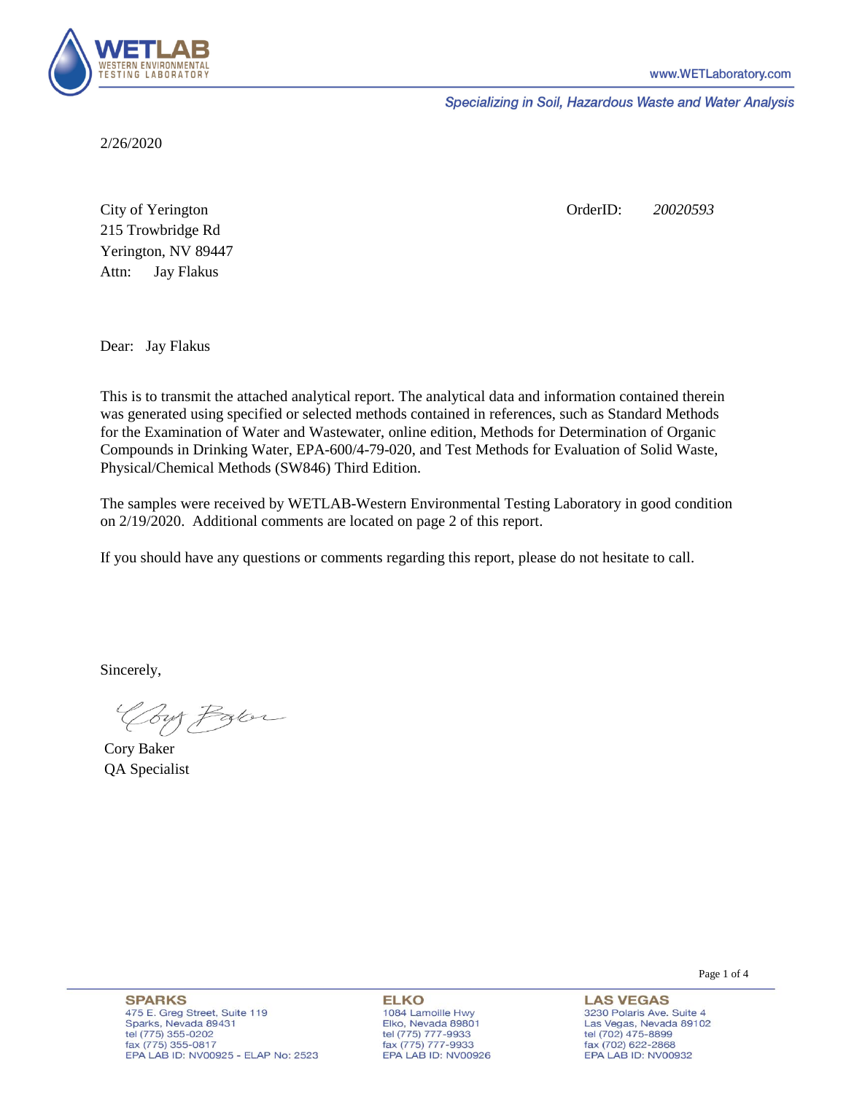

Specializing in Soil, Hazardous Waste and Water Analysis

2/26/2020

Attn: City of Yerington 215 Trowbridge Rd Jay Flakus Yerington, NV 89447 OrderID: *20020593*

Dear: Jay Flakus

This is to transmit the attached analytical report. The analytical data and information contained therein was generated using specified or selected methods contained in references, such as Standard Methods for the Examination of Water and Wastewater, online edition, Methods for Determination of Organic Compounds in Drinking Water, EPA-600/4-79-020, and Test Methods for Evaluation of Solid Waste, Physical/Chemical Methods (SW846) Third Edition.

The samples were received by WETLAB-Western Environmental Testing Laboratory in good condition on 2/19/2020. Additional comments are located on page 2 of this report.

If you should have any questions or comments regarding this report, please do not hesitate to call.

Sincerely,

Your Parce

Cory Baker QA Specialist

Page 1 of 4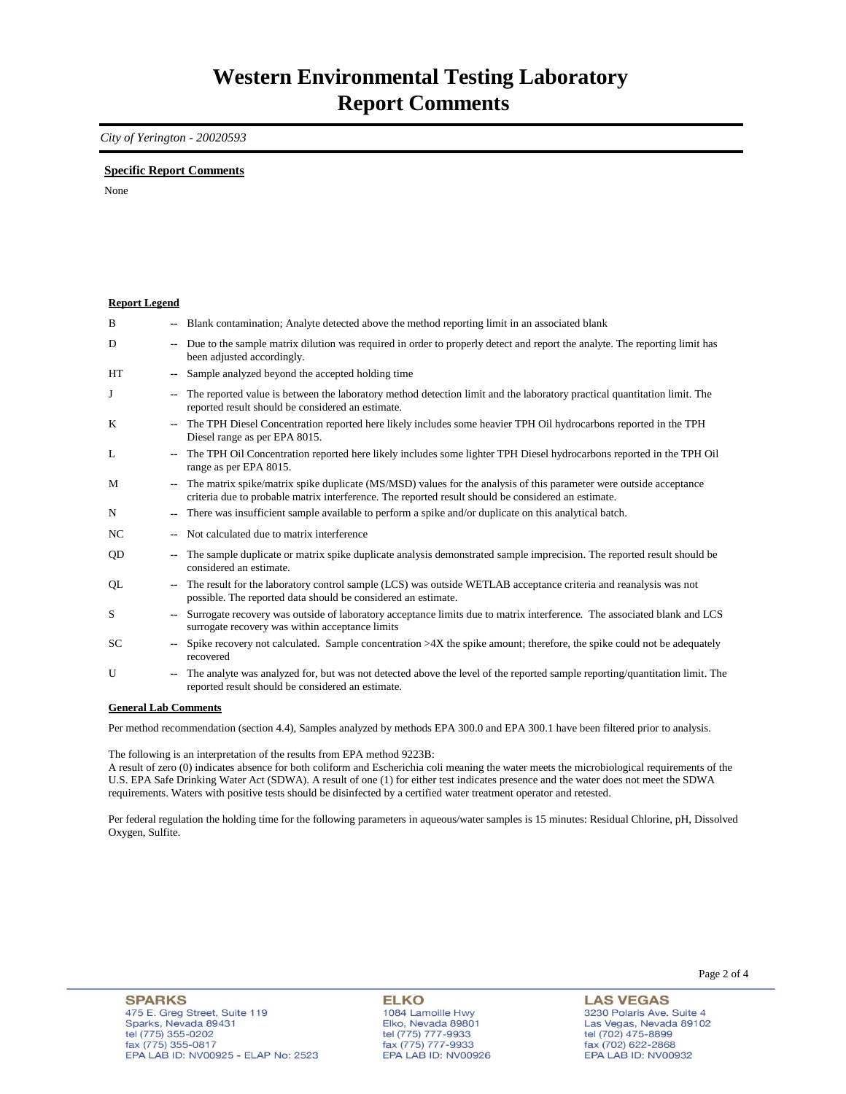## *City of Yerington - 20020593*

## **Specific Report Comments**

None

| <b>Report Legend</b>  |                |                                                                                                                                                                                                                           |
|-----------------------|----------------|---------------------------------------------------------------------------------------------------------------------------------------------------------------------------------------------------------------------------|
| B                     |                | Blank contamination; Analyte detected above the method reporting limit in an associated blank                                                                                                                             |
| D                     | ۰.             | Due to the sample matrix dilution was required in order to properly detect and report the analyte. The reporting limit has<br>been adjusted accordingly.                                                                  |
| <b>HT</b>             |                | Sample analyzed beyond the accepted holding time                                                                                                                                                                          |
| J                     | ۰.             | The reported value is between the laboratory method detection limit and the laboratory practical quantitation limit. The<br>reported result should be considered an estimate.                                             |
| K                     |                | The TPH Diesel Concentration reported here likely includes some heavier TPH Oil hydrocarbons reported in the TPH<br>Diesel range as per EPA 8015.                                                                         |
| L                     | ۰.             | The TPH Oil Concentration reported here likely includes some lighter TPH Diesel hydrocarbons reported in the TPH Oil<br>range as per EPA 8015.                                                                            |
| M                     | --             | The matrix spike/matrix spike duplicate (MS/MSD) values for the analysis of this parameter were outside acceptance<br>criteria due to probable matrix interference. The reported result should be considered an estimate. |
| N                     | ۰.             | There was insufficient sample available to perform a spike and/or duplicate on this analytical batch.                                                                                                                     |
| NC.                   |                | Not calculated due to matrix interference                                                                                                                                                                                 |
| QD                    | ۰.             | The sample duplicate or matrix spike duplicate analysis demonstrated sample imprecision. The reported result should be<br>considered an estimate.                                                                         |
| QL                    | ۰.             | The result for the laboratory control sample (LCS) was outside WETLAB acceptance criteria and reanalysis was not<br>possible. The reported data should be considered an estimate.                                         |
| S                     | $\overline{a}$ | Surrogate recovery was outside of laboratory acceptance limits due to matrix interference. The associated blank and LCS<br>surrogate recovery was within acceptance limits                                                |
| <b>SC</b>             | ۰.             | Spike recovery not calculated. Sample concentration $>4X$ the spike amount; therefore, the spike could not be adequately<br>recovered                                                                                     |
| U                     | ۰.             | The analyte was analyzed for, but was not detected above the level of the reported sample reporting/quantitation limit. The<br>reported result should be considered an estimate.                                          |
| Conoral I ah Commonte |                |                                                                                                                                                                                                                           |

**General Lab Comments**

Per method recommendation (section 4.4), Samples analyzed by methods EPA 300.0 and EPA 300.1 have been filtered prior to analysis.

The following is an interpretation of the results from EPA method 9223B:

A result of zero (0) indicates absence for both coliform and Escherichia coli meaning the water meets the microbiological requirements of the U.S. EPA Safe Drinking Water Act (SDWA). A result of one (1) for either test indicates presence and the water does not meet the SDWA requirements. Waters with positive tests should be disinfected by a certified water treatment operator and retested.

Per federal regulation the holding time for the following parameters in aqueous/water samples is 15 minutes: Residual Chlorine, pH, Dissolved Oxygen, Sulfite.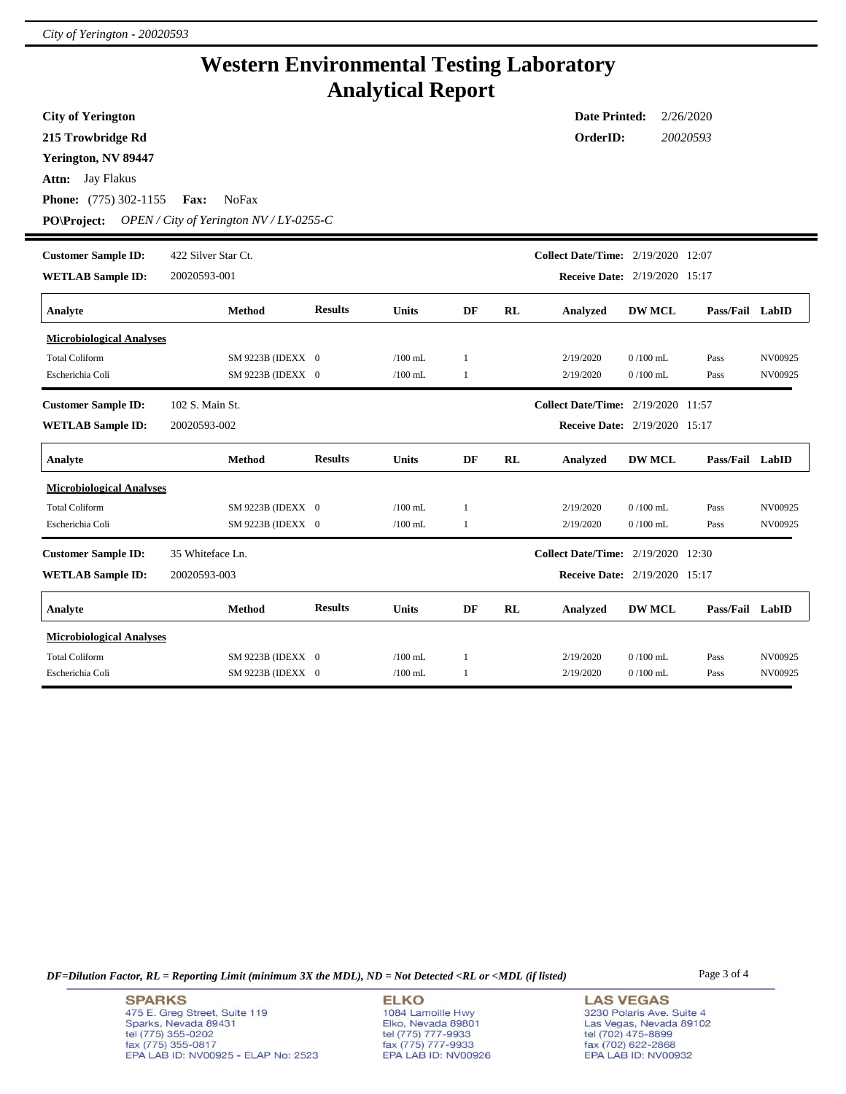## **Western Environmental Testing Laboratory Analytical Report**

| <b>City of Yerington</b>        |                                                  |                |              |                                                                                                                                                                                                                                                                                                                                                                                                                                                                                                                                                                                                                                                                                                                                                                                 |  |           |            |      |         |  |  |  |  |  |  |
|---------------------------------|--------------------------------------------------|----------------|--------------|---------------------------------------------------------------------------------------------------------------------------------------------------------------------------------------------------------------------------------------------------------------------------------------------------------------------------------------------------------------------------------------------------------------------------------------------------------------------------------------------------------------------------------------------------------------------------------------------------------------------------------------------------------------------------------------------------------------------------------------------------------------------------------|--|-----------|------------|------|---------|--|--|--|--|--|--|
| 215 Trowbridge Rd               |                                                  |                |              |                                                                                                                                                                                                                                                                                                                                                                                                                                                                                                                                                                                                                                                                                                                                                                                 |  | OrderID:  |            |      |         |  |  |  |  |  |  |
| Yerington, NV 89447             |                                                  |                |              |                                                                                                                                                                                                                                                                                                                                                                                                                                                                                                                                                                                                                                                                                                                                                                                 |  |           |            |      |         |  |  |  |  |  |  |
| Attn: Jay Flakus                |                                                  |                |              |                                                                                                                                                                                                                                                                                                                                                                                                                                                                                                                                                                                                                                                                                                                                                                                 |  |           |            |      |         |  |  |  |  |  |  |
| <b>Phone:</b> (775) 302-1155    | <b>NoFax</b><br><b>Fax:</b>                      |                |              |                                                                                                                                                                                                                                                                                                                                                                                                                                                                                                                                                                                                                                                                                                                                                                                 |  |           |            |      |         |  |  |  |  |  |  |
| <b>PO\Project:</b>              | OPEN / City of Yerington $N\frac{V}{LY}$ -0255-C |                |              |                                                                                                                                                                                                                                                                                                                                                                                                                                                                                                                                                                                                                                                                                                                                                                                 |  |           |            |      |         |  |  |  |  |  |  |
| <b>Customer Sample ID:</b>      | 422 Silver Star Ct.                              |                |              |                                                                                                                                                                                                                                                                                                                                                                                                                                                                                                                                                                                                                                                                                                                                                                                 |  |           |            |      |         |  |  |  |  |  |  |
|                                 |                                                  |                |              |                                                                                                                                                                                                                                                                                                                                                                                                                                                                                                                                                                                                                                                                                                                                                                                 |  |           |            |      |         |  |  |  |  |  |  |
| <b>WETLAB Sample ID:</b>        | 20020593-001                                     |                |              | <b>Date Printed:</b><br>2/26/2020<br>20020593<br><b>Collect Date/Time:</b> 2/19/2020 12:07<br><b>Receive Date:</b> 2/19/2020 15:17<br>Pass/Fail LabID<br>DF<br>RL<br><b>DW MCL</b><br><b>Analyzed</b><br>$0/100$ mL<br>2/19/2020<br>Pass<br>NV00925<br>$\mathbf{1}$<br>2/19/2020<br>$0/100$ mL<br>1<br>Pass<br>NV00925<br>Collect Date/Time: 2/19/2020 11:57<br><b>Receive Date:</b> 2/19/2020 15:17<br>DF<br>RL<br><b>DW MCL</b><br>Pass/Fail LabID<br>Analyzed<br>2/19/2020<br>$0/100$ mL<br>Pass<br>NV00925<br>-1<br>2/19/2020<br>$0/100$ mL<br>Pass<br>NV00925<br>1<br><b>Collect Date/Time:</b> 2/19/2020 12:30<br>Receive Date: 2/19/2020 15:17<br>DF<br>RL<br>Analyzed<br><b>DW MCL</b><br>Pass/Fail LabID<br>$0/100$ mL<br>2/19/2020<br>Pass<br>NV00925<br>$\mathbf{1}$ |  |           |            |      |         |  |  |  |  |  |  |
| Analyte                         | <b>Method</b>                                    | <b>Results</b> | <b>Units</b> |                                                                                                                                                                                                                                                                                                                                                                                                                                                                                                                                                                                                                                                                                                                                                                                 |  |           |            |      |         |  |  |  |  |  |  |
| <b>Microbiological Analyses</b> |                                                  |                |              |                                                                                                                                                                                                                                                                                                                                                                                                                                                                                                                                                                                                                                                                                                                                                                                 |  |           |            |      |         |  |  |  |  |  |  |
| <b>Total Coliform</b>           | SM 9223B (IDEXX 0                                |                | $/100$ mL    |                                                                                                                                                                                                                                                                                                                                                                                                                                                                                                                                                                                                                                                                                                                                                                                 |  |           |            |      |         |  |  |  |  |  |  |
| Escherichia Coli                | SM 9223B (IDEXX 0                                |                | $/100$ mL    |                                                                                                                                                                                                                                                                                                                                                                                                                                                                                                                                                                                                                                                                                                                                                                                 |  |           |            |      |         |  |  |  |  |  |  |
| <b>Customer Sample ID:</b>      | 102 S. Main St.                                  |                |              |                                                                                                                                                                                                                                                                                                                                                                                                                                                                                                                                                                                                                                                                                                                                                                                 |  |           |            |      |         |  |  |  |  |  |  |
| <b>WETLAB Sample ID:</b>        | 20020593-002                                     |                |              |                                                                                                                                                                                                                                                                                                                                                                                                                                                                                                                                                                                                                                                                                                                                                                                 |  |           |            |      |         |  |  |  |  |  |  |
| Analyte                         | <b>Method</b>                                    | <b>Results</b> | Units        |                                                                                                                                                                                                                                                                                                                                                                                                                                                                                                                                                                                                                                                                                                                                                                                 |  |           |            |      |         |  |  |  |  |  |  |
| <b>Microbiological Analyses</b> |                                                  |                |              |                                                                                                                                                                                                                                                                                                                                                                                                                                                                                                                                                                                                                                                                                                                                                                                 |  |           |            |      |         |  |  |  |  |  |  |
| <b>Total Coliform</b>           | SM 9223B (IDEXX 0                                |                | $/100$ mL    |                                                                                                                                                                                                                                                                                                                                                                                                                                                                                                                                                                                                                                                                                                                                                                                 |  |           |            |      |         |  |  |  |  |  |  |
| Escherichia Coli                | SM 9223B (IDEXX 0                                |                | $/100$ mL    |                                                                                                                                                                                                                                                                                                                                                                                                                                                                                                                                                                                                                                                                                                                                                                                 |  |           |            |      |         |  |  |  |  |  |  |
| <b>Customer Sample ID:</b>      | 35 Whiteface Ln.                                 |                |              |                                                                                                                                                                                                                                                                                                                                                                                                                                                                                                                                                                                                                                                                                                                                                                                 |  |           |            |      |         |  |  |  |  |  |  |
| <b>WETLAB Sample ID:</b>        | 20020593-003                                     |                |              |                                                                                                                                                                                                                                                                                                                                                                                                                                                                                                                                                                                                                                                                                                                                                                                 |  |           |            |      |         |  |  |  |  |  |  |
| Analyte                         | <b>Method</b>                                    | <b>Results</b> | Units        |                                                                                                                                                                                                                                                                                                                                                                                                                                                                                                                                                                                                                                                                                                                                                                                 |  |           |            |      |         |  |  |  |  |  |  |
| <b>Microbiological Analyses</b> |                                                  |                |              |                                                                                                                                                                                                                                                                                                                                                                                                                                                                                                                                                                                                                                                                                                                                                                                 |  |           |            |      |         |  |  |  |  |  |  |
| <b>Total Coliform</b>           | SM 9223B (IDEXX 0                                |                | $/100$ mL    |                                                                                                                                                                                                                                                                                                                                                                                                                                                                                                                                                                                                                                                                                                                                                                                 |  |           |            |      |         |  |  |  |  |  |  |
| Escherichia Coli                | SM 9223B (IDEXX 0                                |                | $/100$ mL    | $\mathbf{1}$                                                                                                                                                                                                                                                                                                                                                                                                                                                                                                                                                                                                                                                                                                                                                                    |  | 2/19/2020 | $0/100$ mL | Pass | NV00925 |  |  |  |  |  |  |

*DF=Dilution Factor, RL = Reporting Limit (minimum 3X the MDL), ND = Not Detected <RL or <MDL (if listed)* Page 3 of 4

**SPARKS** 475 E. Greg Street, Suite 119 Sparks, Nevada 89431<br>tel (775) 355-0202<br>fax (775) 355-0817 EPA LAB ID: NV00925 - ELAP No: 2523

**ELKO** 1084 Lamoille Hwy 1064 Lambile Hwy<br>Elko, Nevada 89801<br>tel (775) 777-9933<br>fax (775) 777-9933<br>EPA LAB ID: NV00926

**LAS VEGAS** 3230 Polaris Ave. Suite 4 Las Vegas, Nevada 89102<br>tel (702) 475-8899<br>fax (702) 622-2868<br>EPA LAB ID: NV00932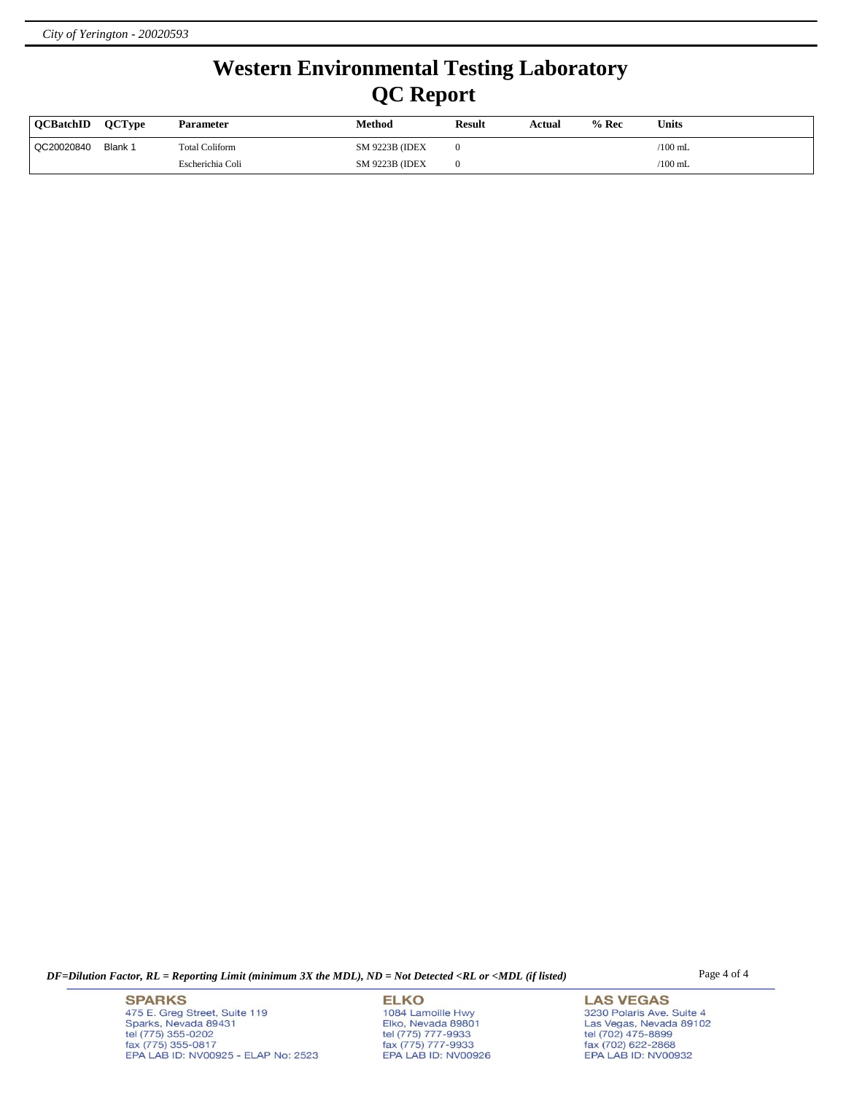## **Western Environmental Testing Laboratory QC Report**

| <b>OCBatchID</b> | <b>OCTvpe</b> | Parameter             | Method<br><b>Result</b> |  | Actual | $%$ Rec | <b>Units</b> |  |  |
|------------------|---------------|-----------------------|-------------------------|--|--------|---------|--------------|--|--|
| QC20020840       | Blank 1       | <b>Total Coliform</b> | <b>SM 9223B (IDEX)</b>  |  |        |         | $/100$ mL    |  |  |
|                  |               | Escherichia Coli      | <b>SM 9223B (IDEX)</b>  |  |        |         | $/100$ mL    |  |  |

*DF=Dilution Factor, RL = Reporting Limit (minimum 3X the MDL), ND = Not Detected <RL or <MDL (if listed)* Page 4 of 4

**SPARKS** 475 E. Greg Street, Suite 119 Sparks, Nevada 89431<br>tel (775) 355-0202<br>fax (775) 355-0817 EPA LAB ID: NV00925 - ELAP No: 2523

**ELKO** 1084 Lamoille Hwy Polyton, Nevada 89801<br>tel (775) 777-9933<br>fax (775) 777-9933<br>EPA LAB ID: NV00926

**LAS VEGAS** 3230 Polaris Ave. Suite 4 Las Vegas, Nevada 89102<br>tel (702) 475-8899<br>fax (702) 622-2868<br>EPA LAB ID: NV00932